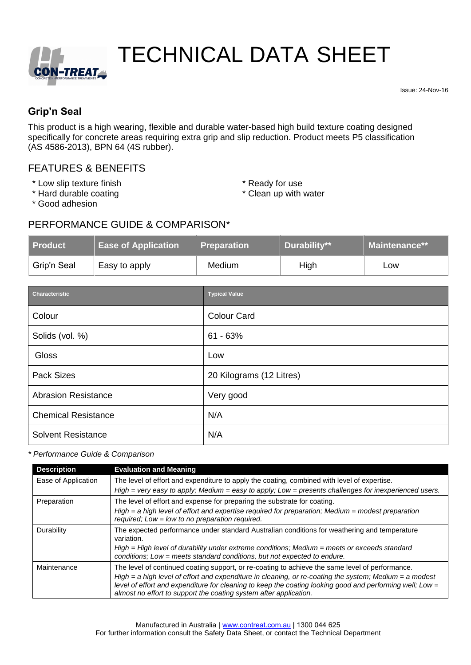

# TECHNICAL DATA SHEET

Issue: 24-Nov-16

# **Grip'n Seal**

This product is a high wearing, flexible and durable water-based high build texture coating designed specifically for concrete areas requiring extra grip and slip reduction. Product meets P5 classification (AS 4586-2013), BPN 64 (4S rubber).

# FEATURES & BENEFITS

- \* Low slip texture finish  $*$  Ready for use
- \* Hard durable coating
- 
- \* Clean up with water

\* Good adhesion

### PERFORMANCE GUIDE & COMPARISON\*

| <b>Product</b> | <b>Ease of Application</b> | <b>Preparation</b> | <b>Durability**</b> | <b>Maintenance**</b> |
|----------------|----------------------------|--------------------|---------------------|----------------------|
| Grip'n Seal    | Easy to apply              | Medium             | High                | Low                  |

| <b>Characteristic</b>      | <b>Typical Value</b>     |
|----------------------------|--------------------------|
| Colour                     | <b>Colour Card</b>       |
| Solids (vol. %)            | $61 - 63%$               |
| Gloss                      | Low                      |
| <b>Pack Sizes</b>          | 20 Kilograms (12 Litres) |
| <b>Abrasion Resistance</b> | Very good                |
| <b>Chemical Resistance</b> | N/A                      |
| <b>Solvent Resistance</b>  | N/A                      |

*\* Performance Guide & Comparison*

| <b>Description</b>  | <b>Evaluation and Meaning</b>                                                                                                                                                                                                                                                             |  |  |
|---------------------|-------------------------------------------------------------------------------------------------------------------------------------------------------------------------------------------------------------------------------------------------------------------------------------------|--|--|
| Ease of Application | The level of effort and expenditure to apply the coating, combined with level of expertise.                                                                                                                                                                                               |  |  |
|                     | $High = very easy$ to apply; Medium = easy to apply; Low = presents challenges for inexperienced users.                                                                                                                                                                                   |  |  |
| Preparation         | The level of effort and expense for preparing the substrate for coating.                                                                                                                                                                                                                  |  |  |
|                     | $High = a high level of effort and expertise required for preparation; Medium = modest preparation$<br>required: Low = low to no preparation required.                                                                                                                                    |  |  |
| Durability          | The expected performance under standard Australian conditions for weathering and temperature<br>variation.                                                                                                                                                                                |  |  |
|                     | $High = High level of durability under extreme conditions; Medium = meets or exceeds standard$<br>conditions; Low = meets standard conditions, but not expected to endure.                                                                                                                |  |  |
| Maintenance         | The level of continued coating support, or re-coating to achieve the same level of performance.                                                                                                                                                                                           |  |  |
|                     | $High = a high level of effort and expenditure in cleaning, or re-coating the system; Medium = a modest$<br>level of effort and expenditure for cleaning to keep the coating looking good and performing well; Low =<br>almost no effort to support the coating system after application. |  |  |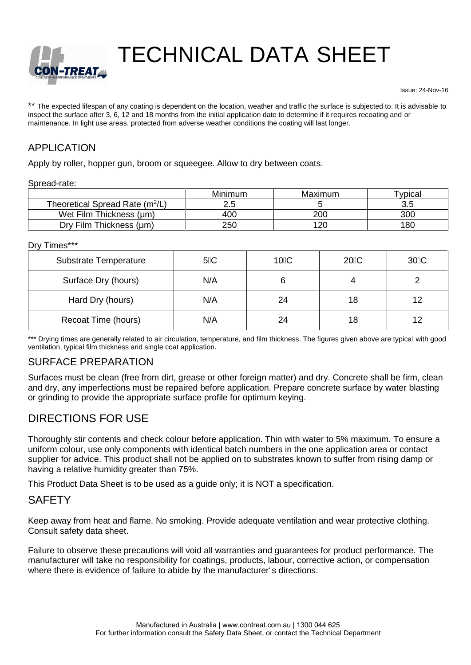

TECHNICAL DATA SHEET

Issue: 24-Nov-16

\*\* The expected lifespan of any coating is dependent on the location, weather and traffic the surface is subjected to. It is advisable to inspect the surface after 3, 6, 12 and 18 months from the initial application date to determine if it requires recoating and or maintenance. In light use areas, protected from adverse weather conditions the coating will last longer.

# APPLICATION

Apply by roller, hopper gun, broom or squeegee. Allow to dry between coats.

Spread-rate:

|                                             | <b>Minimum</b> | Maximum | ™vpicaı |
|---------------------------------------------|----------------|---------|---------|
| Theoretical Spread Rate (m <sup>2</sup> /L) |                |         |         |
| Wet Film Thickness (µm)                     | 400            | 200     | 300     |
| Dry Film Thickness (µm)                     | 250            | 120     | 180     |

Dry Times\*\*\*

| <b>Substrate Temperature</b> | 5 C | 10 <sup>C</sup> | 20 C | 30 C |  |
|------------------------------|-----|-----------------|------|------|--|
| Surface Dry (hours)          | N/A |                 | 4    |      |  |
| Hard Dry (hours)             | N/A | 24              | 18   | 12   |  |
| Recoat Time (hours)          | N/A | 24              | 18   | 12   |  |

\*\*\* Drying times are generally related to air circulation, temperature, and film thickness. The figures given above are typical with good ventilation, typical film thickness and single coat application.

#### SURFACE PREPARATION

Surfaces must be clean (free from dirt, grease or other foreign matter) and dry. Concrete shall be firm, clean and dry, any imperfections must be repaired before application. Prepare concrete surface by water blasting or grinding to provide the appropriate surface profile for optimum keying.

# DIRECTIONS FOR USE

Thoroughly stir contents and check colour before application. Thin with water to 5% maximum. To ensure a uniform colour, use only components with identical batch numbers in the one application area or contact supplier for advice. This product shall not be applied on to substrates known to suffer from rising damp or having a relative humidity greater than 75%.

This Product Data Sheet is to be used as a guide only; it is NOT a specification.

# **SAFETY**

Keep away from heat and flame. No smoking. Provide adequate ventilation and wear protective clothing. Consult safety data sheet.

Failure to observe these precautions will void all warranties and guarantees for product performance. The manufacturer will take no responsibility for coatings, products, labour, corrective action, or compensation where there is evidence of failure to abide by the manufacturer's directions.